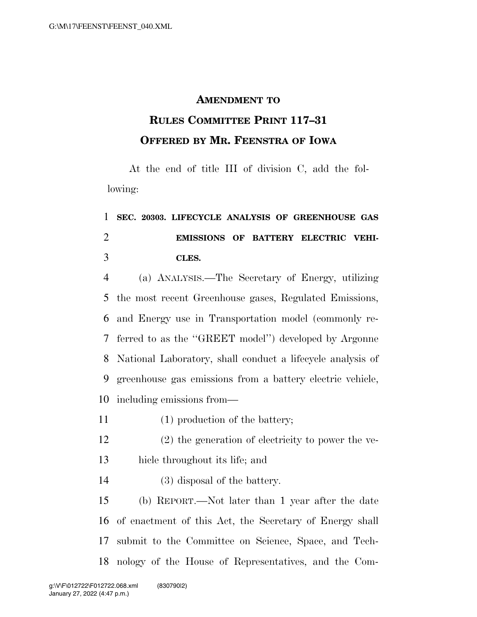## **AMENDMENT TO**

## **RULES COMMITTEE PRINT 117–31 OFFERED BY MR. FEENSTRA OF IOWA**

At the end of title III of division C, add the following:

## **SEC. 20303. LIFECYCLE ANALYSIS OF GREENHOUSE GAS EMISSIONS OF BATTERY ELECTRIC VEHI-CLES.**

 (a) ANALYSIS.—The Secretary of Energy, utilizing the most recent Greenhouse gases, Regulated Emissions, and Energy use in Transportation model (commonly re- ferred to as the ''GREET model'') developed by Argonne National Laboratory, shall conduct a lifecycle analysis of greenhouse gas emissions from a battery electric vehicle, including emissions from—

- 11 (1) production of the battery;
- (2) the generation of electricity to power the ve-hicle throughout its life; and
- (3) disposal of the battery.

 (b) REPORT.—Not later than 1 year after the date of enactment of this Act, the Secretary of Energy shall submit to the Committee on Science, Space, and Tech-nology of the House of Representatives, and the Com-